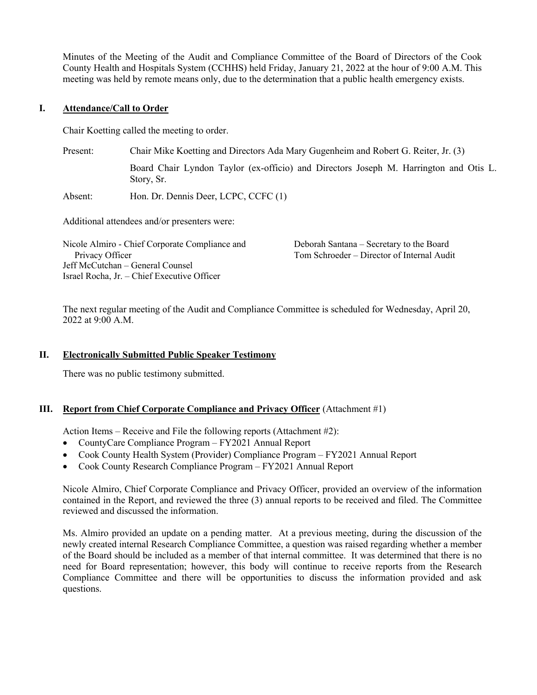Minutes of the Meeting of the Audit and Compliance Committee of the Board of Directors of the Cook County Health and Hospitals System (CCHHS) held Friday, January 21, 2022 at the hour of 9:00 A.M. This meeting was held by remote means only, due to the determination that a public health emergency exists.

# **I. Attendance/Call to Order**

Chair Koetting called the meeting to order.

| Present:        | Chair Mike Koetting and Directors Ada Mary Gugenheim and Robert G. Reiter, Jr. (3)                  |                                                                                        |  |
|-----------------|-----------------------------------------------------------------------------------------------------|----------------------------------------------------------------------------------------|--|
|                 | Board Chair Lyndon Taylor (ex-officio) and Directors Joseph M. Harrington and Otis L.<br>Story, Sr. |                                                                                        |  |
| Absent:         | Hon. Dr. Dennis Deer, LCPC, CCFC (1)                                                                |                                                                                        |  |
|                 | Additional attendees and/or presenters were:                                                        |                                                                                        |  |
| Privacy Officer | Nicole Almiro - Chief Corporate Compliance and                                                      | Deborah Santana - Secretary to the Board<br>Tom Schroeder – Director of Internal Audit |  |

The next regular meeting of the Audit and Compliance Committee is scheduled for Wednesday, April 20, 2022 at 9:00 A.M.

# **II. Electronically Submitted Public Speaker Testimony**

There was no public testimony submitted.

Jeff McCutchan – General Counsel Israel Rocha, Jr. – Chief Executive Officer

#### **III. Report from Chief Corporate Compliance and Privacy Officer** (Attachment #1)

Action Items – Receive and File the following reports (Attachment #2):

- CountyCare Compliance Program FY2021 Annual Report
- Cook County Health System (Provider) Compliance Program FY2021 Annual Report
- Cook County Research Compliance Program FY2021 Annual Report

Nicole Almiro, Chief Corporate Compliance and Privacy Officer, provided an overview of the information contained in the Report, and reviewed the three (3) annual reports to be received and filed. The Committee reviewed and discussed the information.

Ms. Almiro provided an update on a pending matter. At a previous meeting, during the discussion of the newly created internal Research Compliance Committee, a question was raised regarding whether a member of the Board should be included as a member of that internal committee. It was determined that there is no need for Board representation; however, this body will continue to receive reports from the Research Compliance Committee and there will be opportunities to discuss the information provided and ask questions.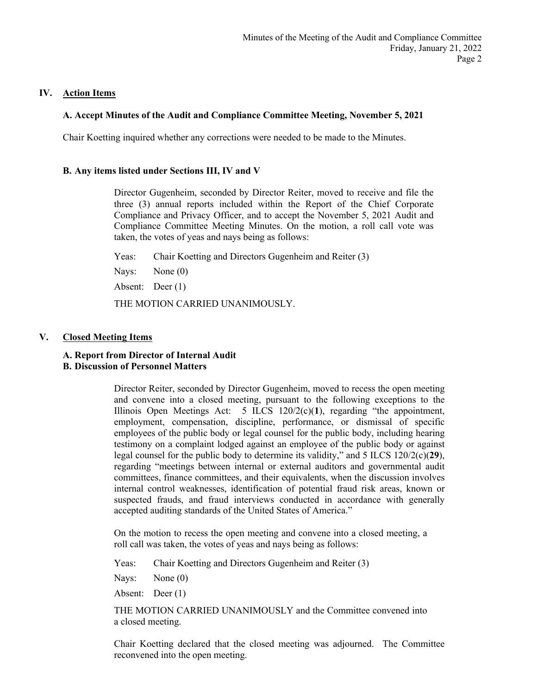## **IV. Action Items**

## **A. Accept Minutes of the Audit and Compliance Committee Meeting, November 5, 2021**

Chair Koetting inquired whether any corrections were needed to be made to the Minutes.

#### **B. Any items listed under Sections III, IV and V**

Director Gugenheim, seconded by Director Reiter, moved to receive and file the three (3) annual reports included within the Report of the Chief Corporate Compliance and Privacy Officer, and to accept the November 5, 2021 Audit and Compliance Committee Meeting Minutes. On the motion, a roll call vote was taken, the votes of yeas and nays being as follows:

Yeas: Chair Koetting and Directors Gugenheim and Reiter (3)

Nays: None (0)

Absent: Deer (1)

THE MOTION CARRIED UNANIMOUSLY.

### **V. Closed Meeting Items**

#### **A. Report from Director of Internal Audit B. Discussion of Personnel Matters**

Director Reiter, seconded by Director Gugenheim, moved to recess the open meeting and convene into a closed meeting, pursuant to the following exceptions to the Illinois Open Meetings Act:  $5$  ILCS  $120/2(c)(1)$ , regarding "the appointment, employment, compensation, discipline, performance, or dismissal of specific employees of the public body or legal counsel for the public body, including hearing testimony on a complaint lodged against an employee of the public body or against legal counsel for the public body to determine its validity," and 5 ILCS 120/2(c)(**29**), regarding "meetings between internal or external auditors and governmental audit committees, finance committees, and their equivalents, when the discussion involves internal control weaknesses, identification of potential fraud risk areas, known or suspected frauds, and fraud interviews conducted in accordance with generally accepted auditing standards of the United States of America."

On the motion to recess the open meeting and convene into a closed meeting, a roll call was taken, the votes of yeas and nays being as follows:

Yeas: Chair Koetting and Directors Gugenheim and Reiter (3)

Nays: None (0)

Absent: Deer (1)

THE MOTION CARRIED UNANIMOUSLY and the Committee convened into a closed meeting.

Chair Koetting declared that the closed meeting was adjourned. The Committee reconvened into the open meeting.